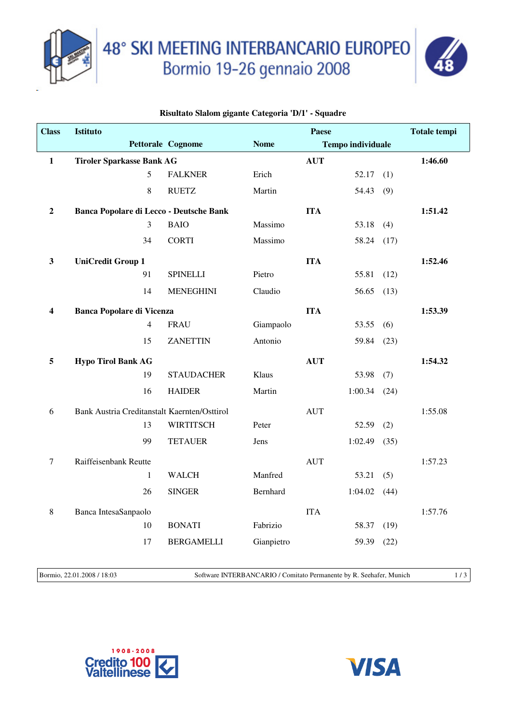

48° SKI MEETING INTERBANCARIO EUROPEO<br>Bormio 19-26 gennaio 2008



## **Risultato Slalom gigante Categoria 'D/1' - Squadre**

| <b>Class</b>   | <b>Istituto</b>                              |                |                   | <b>Paese</b> |                          |               | <b>Totale tempi</b> |
|----------------|----------------------------------------------|----------------|-------------------|--------------|--------------------------|---------------|---------------------|
|                |                                              |                | Pettorale Cognome | <b>Nome</b>  | <b>Tempo individuale</b> |               |                     |
| $\mathbf{1}$   | <b>Tiroler Sparkasse Bank AG</b>             |                |                   |              | <b>AUT</b>               |               | 1:46.60             |
|                |                                              | 5              | <b>FALKNER</b>    | Erich        |                          | 52.17<br>(1)  |                     |
|                |                                              | 8              | <b>RUETZ</b>      | Martin       |                          | 54.43<br>(9)  |                     |
| $\overline{2}$ | Banca Popolare di Lecco - Deutsche Bank      |                |                   |              | <b>ITA</b>               |               | 1:51.42             |
|                |                                              | 3              | <b>BAIO</b>       | Massimo      |                          | 53.18<br>(4)  |                     |
|                |                                              | 34             | <b>CORTI</b>      | Massimo      |                          | 58.24<br>(17) |                     |
| $\mathbf{3}$   | <b>UniCredit Group 1</b>                     |                |                   |              | <b>ITA</b>               |               | 1:52.46             |
|                |                                              | 91             | <b>SPINELLI</b>   | Pietro       |                          | 55.81<br>(12) |                     |
|                |                                              | 14             | <b>MENEGHINI</b>  | Claudio      |                          | 56.65<br>(13) |                     |
| 4              | <b>Banca Popolare di Vicenza</b>             |                |                   |              | <b>ITA</b>               |               | 1:53.39             |
|                |                                              | $\overline{4}$ | <b>FRAU</b>       | Giampaolo    |                          | 53.55<br>(6)  |                     |
|                |                                              | 15             | <b>ZANETTIN</b>   | Antonio      |                          | 59.84<br>(23) |                     |
| 5              | <b>Hypo Tirol Bank AG</b>                    |                |                   |              | <b>AUT</b>               |               | 1:54.32             |
|                |                                              | 19             | <b>STAUDACHER</b> | Klaus        |                          | 53.98<br>(7)  |                     |
|                |                                              | 16             | <b>HAIDER</b>     | Martin       | 1:00.34                  | (24)          |                     |
| 6              | Bank Austria Creditanstalt Kaernten/Osttirol |                |                   |              | <b>AUT</b>               |               | 1:55.08             |
|                |                                              | 13             | <b>WIRTITSCH</b>  | Peter        |                          | 52.59<br>(2)  |                     |
|                |                                              | 99             | <b>TETAUER</b>    | Jens         | 1:02.49                  | (35)          |                     |
| $\tau$         | Raiffeisenbank Reutte                        |                |                   |              | <b>AUT</b>               |               | 1:57.23             |
|                |                                              | 1              | <b>WALCH</b>      | Manfred      |                          | 53.21<br>(5)  |                     |
|                |                                              | 26             | <b>SINGER</b>     | Bernhard     | 1:04.02                  | (44)          |                     |
|                |                                              |                |                   |              |                          |               |                     |
| 8              | Banca IntesaSanpaolo                         | 10             | <b>BONATI</b>     | Fabrizio     | <b>ITA</b>               | 58.37<br>(19) | 1:57.76             |
|                |                                              | 17             | <b>BERGAMELLI</b> | Gianpietro   |                          |               |                     |
|                |                                              |                |                   |              |                          | 59.39<br>(22) |                     |
|                |                                              |                |                   |              |                          |               |                     |

Bormio, 22.01.2008 / 18:03 Software INTERBANCARIO / Comitato Permanente by R. Seehafer, Munich 1/3



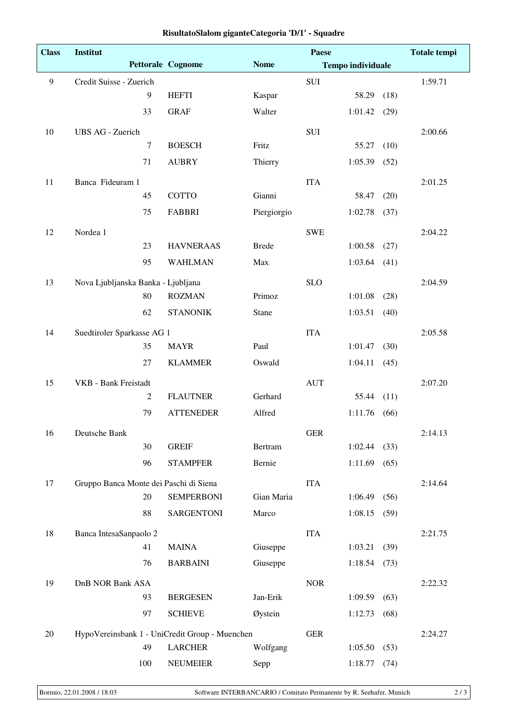| <b>Class</b> | Institut                                       |                          | <b>Paese</b>                            |             |         | <b>Totale tempi</b> |         |
|--------------|------------------------------------------------|--------------------------|-----------------------------------------|-------------|---------|---------------------|---------|
|              |                                                | <b>Pettorale Cognome</b> | <b>Nome</b><br><b>Tempo individuale</b> |             |         |                     |         |
| 9            | Credit Suisse - Zuerich                        |                          |                                         | SUI         |         |                     | 1:59.71 |
|              | 9                                              | <b>HEFTI</b>             | Kaspar                                  |             | 58.29   | (18)                |         |
|              | 33                                             | <b>GRAF</b>              | Walter                                  |             | 1:01.42 | (29)                |         |
| 10           | UBS AG - Zuerich                               |                          |                                         | <b>SUI</b>  |         |                     | 2:00.66 |
|              | $\boldsymbol{7}$                               | <b>BOESCH</b>            | Fritz                                   |             | 55.27   | (10)                |         |
|              | 71                                             | <b>AUBRY</b>             | Thierry                                 |             | 1:05.39 | (52)                |         |
| 11           | Banca Fideuram 1                               |                          |                                         | <b>ITA</b>  |         |                     | 2:01.25 |
|              | 45                                             | <b>COTTO</b>             | Gianni                                  |             | 58.47   | (20)                |         |
|              | 75                                             | <b>FABBRI</b>            | Piergiorgio                             |             | 1:02.78 | (37)                |         |
| 12           | Nordea 1                                       |                          |                                         | <b>SWE</b>  |         |                     | 2:04.22 |
|              | 23                                             | <b>HAVNERAAS</b>         | <b>Brede</b>                            |             | 1:00.58 | (27)                |         |
|              | 95                                             | <b>WAHLMAN</b>           | Max                                     |             | 1:03.64 | (41)                |         |
| 13           | Nova Ljubljanska Banka - Ljubljana             |                          |                                         | <b>SLO</b>  |         |                     | 2:04.59 |
|              | 80                                             | <b>ROZMAN</b>            | Primoz                                  |             | 1:01.08 | (28)                |         |
|              | 62                                             | <b>STANONIK</b>          | Stane                                   |             | 1:03.51 | (40)                |         |
| 14           | Suedtiroler Sparkasse AG 1                     |                          |                                         | <b>ITA</b>  |         |                     | 2:05.58 |
|              | 35                                             | <b>MAYR</b>              | Paul                                    |             | 1:01.47 | (30)                |         |
|              | 27                                             | <b>KLAMMER</b>           | Oswald                                  |             | 1:04.11 | (45)                |         |
| 15           | <b>VKB</b> - Bank Freistadt                    |                          |                                         | <b>AUT</b>  |         |                     | 2:07.20 |
|              | 2                                              | <b>FLAUTNER</b>          | Gerhard                                 |             | 55.44   | (11)                |         |
|              | 79                                             | <b>ATTENEDER</b>         | Alfred                                  |             | 1:11.76 | (66)                |         |
| 16           | Deutsche Bank                                  |                          |                                         | ${\tt GER}$ |         |                     | 2:14.13 |
|              | 30                                             | <b>GREIF</b>             | Bertram                                 |             | 1:02.44 | (33)                |         |
|              | 96                                             | <b>STAMPFER</b>          | Bernie                                  |             | 1:11.69 | (65)                |         |
| 17           | Gruppo Banca Monte dei Paschi di Siena         |                          |                                         | <b>ITA</b>  |         |                     | 2:14.64 |
|              | 20                                             | <b>SEMPERBONI</b>        | Gian Maria                              |             | 1:06.49 | (56)                |         |
|              | 88                                             | <b>SARGENTONI</b>        | Marco                                   |             | 1:08.15 | (59)                |         |
| 18           | Banca IntesaSanpaolo 2                         |                          |                                         | <b>ITA</b>  |         |                     | 2:21.75 |
|              | 41                                             | <b>MAINA</b>             | Giuseppe                                |             | 1:03.21 | (39)                |         |
|              | 76                                             | <b>BARBAINI</b>          | Giuseppe                                |             | 1:18.54 | (73)                |         |
| 19           | DnB NOR Bank ASA                               |                          |                                         | $\rm{NOR}$  |         |                     | 2:22.32 |
|              | 93                                             | <b>BERGESEN</b>          | Jan-Erik                                |             | 1:09.59 | (63)                |         |
|              | 97                                             | <b>SCHIEVE</b>           | Øystein                                 |             | 1:12.73 | (68)                |         |
| $20\,$       | HypoVereinsbank 1 - UniCredit Group - Muenchen |                          |                                         | <b>GER</b>  |         |                     | 2:24.27 |
|              | 49                                             | <b>LARCHER</b>           | Wolfgang                                |             | 1:05.50 | (53)                |         |
|              | 100                                            | NEUMEIER                 | Sepp                                    |             | 1:18.77 | (74)                |         |

## **RisultatoSlalom giganteCategoria 'D/1' - Squadre**